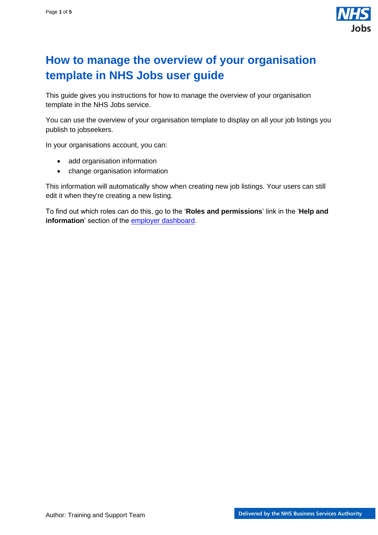

# <span id="page-0-0"></span>**How to manage the overview of your organisation template in NHS Jobs user guide**

This guide gives you instructions for how to manage the overview of your organisation template in the NHS Jobs service.

You can use the overview of your organisation template to display on all your job listings you publish to jobseekers.

In your organisations account, you can:

- add organisation information
- change organisation information

This information will automatically show when creating new job listings. Your users can still edit it when they're creating a new listing.

To find out which roles can do this, go to the '**Roles and permissions**' link in the '**Help and information**' section of the [employer dashboard.](https://beta.jobs.nhs.uk/home)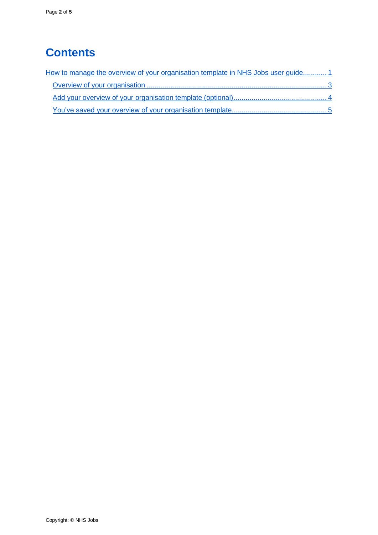# **Contents**

| How to manage the overview of your organisation template in NHS Jobs user guide 1 |  |
|-----------------------------------------------------------------------------------|--|
|                                                                                   |  |
|                                                                                   |  |
|                                                                                   |  |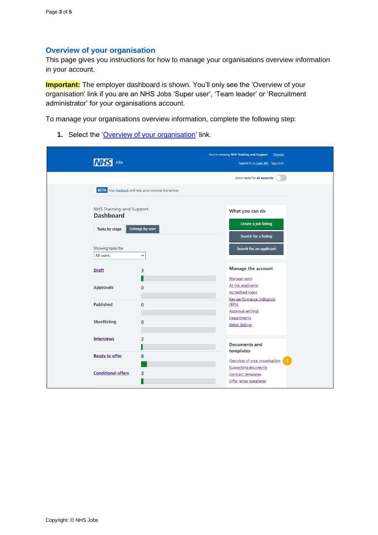#### <span id="page-2-0"></span>**Overview of your organisation**

This page gives you instructions for how to manage your organisations overview information in your account.

**Important:** The employer dashboard is shown. You'll only see the 'Overview of your organisation' link if you are an NHS Jobs 'Super user', 'Team leader' or 'Recruitment administrator' for your organisations account.

To manage your organisations overview information, complete the following step:

1. Select the ['Overview of your organisation'](#page-3-0) link.

| Jobs<br>Signed in as Liam M1 Sign Out<br>Show tasks for all accounts<br><b>BETA</b> Your feedback will help us to improve this service.<br><b>NHS Training and Support</b><br>What you can do<br><b>Dashboard</b><br><b>Create a job listing</b><br><b>Listings by user</b><br>Tasks by stage<br>Search for a listing<br>Showing tasks for<br>Search for an applicant<br>All users<br>$\check{~}$<br><b>Manage the account</b><br><b>Draft</b><br>3<br>Manage users<br>At risk applicants<br><b>Approvals</b><br>$\mathbf 0$<br><b>Accredited logos</b><br><b>Key performance indicators</b><br><b>Published</b><br>(KPIs)<br>$\mathbf{O}$<br><b>Approval settings</b><br>Departments<br><b>Shortlisting</b><br>$\mathbf 0$<br><b>Welsh listings</b><br><b>Interviews</b><br>$\overline{2}$<br><b>Documents and</b><br>templates<br><b>Ready to offer</b><br>8<br>Overview of your organisation<br><b>Supporting documents</b><br><b>Conditional offers</b><br>3<br><b>Contract templates</b> |  | You're viewing NHS Training and Support<br>Change |
|-----------------------------------------------------------------------------------------------------------------------------------------------------------------------------------------------------------------------------------------------------------------------------------------------------------------------------------------------------------------------------------------------------------------------------------------------------------------------------------------------------------------------------------------------------------------------------------------------------------------------------------------------------------------------------------------------------------------------------------------------------------------------------------------------------------------------------------------------------------------------------------------------------------------------------------------------------------------------------------------------|--|---------------------------------------------------|
|                                                                                                                                                                                                                                                                                                                                                                                                                                                                                                                                                                                                                                                                                                                                                                                                                                                                                                                                                                                               |  |                                                   |
|                                                                                                                                                                                                                                                                                                                                                                                                                                                                                                                                                                                                                                                                                                                                                                                                                                                                                                                                                                                               |  |                                                   |
|                                                                                                                                                                                                                                                                                                                                                                                                                                                                                                                                                                                                                                                                                                                                                                                                                                                                                                                                                                                               |  |                                                   |
|                                                                                                                                                                                                                                                                                                                                                                                                                                                                                                                                                                                                                                                                                                                                                                                                                                                                                                                                                                                               |  |                                                   |
|                                                                                                                                                                                                                                                                                                                                                                                                                                                                                                                                                                                                                                                                                                                                                                                                                                                                                                                                                                                               |  |                                                   |
|                                                                                                                                                                                                                                                                                                                                                                                                                                                                                                                                                                                                                                                                                                                                                                                                                                                                                                                                                                                               |  |                                                   |
|                                                                                                                                                                                                                                                                                                                                                                                                                                                                                                                                                                                                                                                                                                                                                                                                                                                                                                                                                                                               |  |                                                   |
|                                                                                                                                                                                                                                                                                                                                                                                                                                                                                                                                                                                                                                                                                                                                                                                                                                                                                                                                                                                               |  |                                                   |
|                                                                                                                                                                                                                                                                                                                                                                                                                                                                                                                                                                                                                                                                                                                                                                                                                                                                                                                                                                                               |  |                                                   |
|                                                                                                                                                                                                                                                                                                                                                                                                                                                                                                                                                                                                                                                                                                                                                                                                                                                                                                                                                                                               |  |                                                   |
|                                                                                                                                                                                                                                                                                                                                                                                                                                                                                                                                                                                                                                                                                                                                                                                                                                                                                                                                                                                               |  |                                                   |
|                                                                                                                                                                                                                                                                                                                                                                                                                                                                                                                                                                                                                                                                                                                                                                                                                                                                                                                                                                                               |  |                                                   |
|                                                                                                                                                                                                                                                                                                                                                                                                                                                                                                                                                                                                                                                                                                                                                                                                                                                                                                                                                                                               |  |                                                   |
|                                                                                                                                                                                                                                                                                                                                                                                                                                                                                                                                                                                                                                                                                                                                                                                                                                                                                                                                                                                               |  |                                                   |
|                                                                                                                                                                                                                                                                                                                                                                                                                                                                                                                                                                                                                                                                                                                                                                                                                                                                                                                                                                                               |  |                                                   |
|                                                                                                                                                                                                                                                                                                                                                                                                                                                                                                                                                                                                                                                                                                                                                                                                                                                                                                                                                                                               |  |                                                   |
|                                                                                                                                                                                                                                                                                                                                                                                                                                                                                                                                                                                                                                                                                                                                                                                                                                                                                                                                                                                               |  |                                                   |
|                                                                                                                                                                                                                                                                                                                                                                                                                                                                                                                                                                                                                                                                                                                                                                                                                                                                                                                                                                                               |  |                                                   |
|                                                                                                                                                                                                                                                                                                                                                                                                                                                                                                                                                                                                                                                                                                                                                                                                                                                                                                                                                                                               |  |                                                   |
|                                                                                                                                                                                                                                                                                                                                                                                                                                                                                                                                                                                                                                                                                                                                                                                                                                                                                                                                                                                               |  |                                                   |
|                                                                                                                                                                                                                                                                                                                                                                                                                                                                                                                                                                                                                                                                                                                                                                                                                                                                                                                                                                                               |  |                                                   |
|                                                                                                                                                                                                                                                                                                                                                                                                                                                                                                                                                                                                                                                                                                                                                                                                                                                                                                                                                                                               |  |                                                   |
|                                                                                                                                                                                                                                                                                                                                                                                                                                                                                                                                                                                                                                                                                                                                                                                                                                                                                                                                                                                               |  | Offer letter templates                            |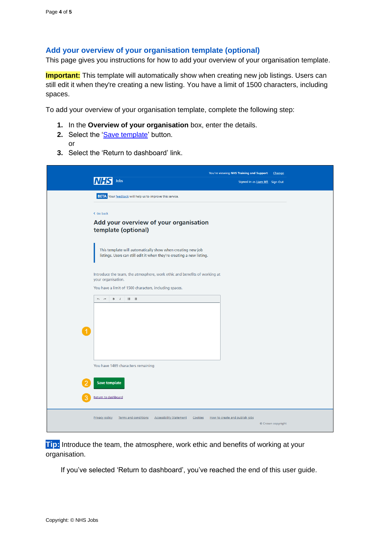### <span id="page-3-0"></span>**Add your overview of your organisation template (optional)**

This page gives you instructions for how to add your overview of your organisation template.

**Important:** This template will automatically show when creating new job listings. Users can still edit it when they're creating a new listing. You have a limit of 1500 characters, including spaces.

To add your overview of your organisation template, complete the following step:

- **1.** In the **Overview of your organisation** box, enter the details.
- **2.** Select the ['Save template'](#page-4-0) button. or
- **3.** Select the 'Return to dashboard' link.

| You're viewing NHS Training and Support<br>Change<br>Jobs<br>Signed in as Liam M1 Sign Out                                                               |
|----------------------------------------------------------------------------------------------------------------------------------------------------------|
| <b>BETA</b> Your feedback will help us to improve this service.                                                                                          |
| < Go back<br>Add your overview of your organisation<br>template (optional)                                                                               |
| This template will automatically show when creating new job<br>listings. Users can still edit it when they're creating a new listing.                    |
| Introduce the team, the atmosphere, work ethic and benefits of working at<br>your organisation.                                                          |
| You have a limit of 1500 characters, including spaces.                                                                                                   |
| $\leftrightarrow$                                                                                                                                        |
|                                                                                                                                                          |
|                                                                                                                                                          |
|                                                                                                                                                          |
|                                                                                                                                                          |
| You have 1489 characters remaining                                                                                                                       |
| <b>Save template</b>                                                                                                                                     |
| Return to dashboard                                                                                                                                      |
| <b>Privacy policy</b><br><b>Terms and conditions</b><br><b>Accessibility Statement</b><br>Cookies<br>How to create and publish jobs<br>© Crown copyright |

**Tip:** Introduce the team, the atmosphere, work ethic and benefits of working at your organisation.

If you've selected 'Return to dashboard', you've reached the end of this user guide.